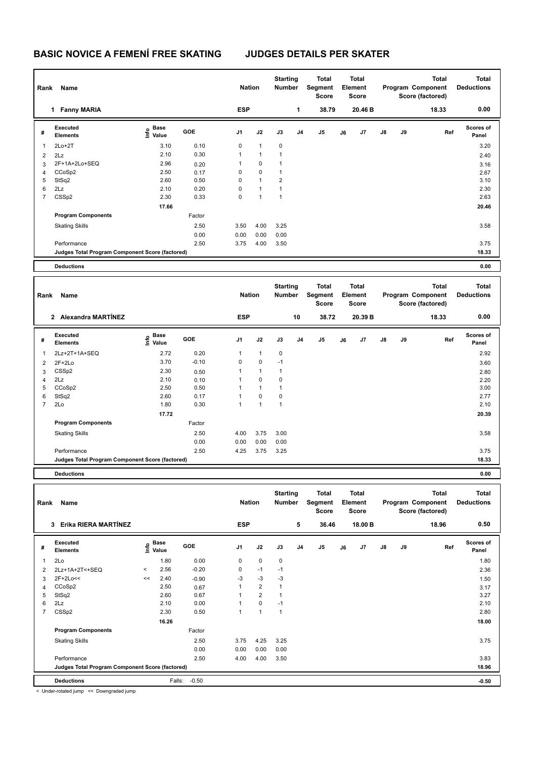| Rank           | Name                                            |                                  |            | <b>Nation</b>  |              | <b>Starting</b><br><b>Number</b> |                | Total<br>Segment<br><b>Score</b> |    | <b>Total</b><br>Element<br><b>Score</b> |               |    | <b>Total</b><br>Program Component<br>Score (factored) | <b>Total</b><br><b>Deductions</b> |
|----------------|-------------------------------------------------|----------------------------------|------------|----------------|--------------|----------------------------------|----------------|----------------------------------|----|-----------------------------------------|---------------|----|-------------------------------------------------------|-----------------------------------|
|                | <b>Fanny MARIA</b><br>1.                        |                                  |            | <b>ESP</b>     |              |                                  | 1              | 38.79                            |    | 20.46 B                                 |               |    | 18.33                                                 | 0.00                              |
| #              | Executed<br><b>Elements</b>                     | <b>Base</b><br>o Base<br>⊆ Value | <b>GOE</b> | J <sub>1</sub> | J2           | J3                               | J <sub>4</sub> | J5                               | J6 | J <sub>7</sub>                          | $\mathsf{J}8$ | J9 | Ref                                                   | <b>Scores of</b><br>Panel         |
| 1              | $2Lo+2T$                                        | 3.10                             | 0.10       | 0              | $\mathbf{1}$ | $\mathbf 0$                      |                |                                  |    |                                         |               |    |                                                       | 3.20                              |
| $\overline{2}$ | 2Lz                                             | 2.10                             | 0.30       | 1              | $\mathbf{1}$ | $\mathbf{1}$                     |                |                                  |    |                                         |               |    |                                                       | 2.40                              |
| 3              | 2F+1A+2Lo+SEQ                                   | 2.96                             | 0.20       | 1              | 0            | 1                                |                |                                  |    |                                         |               |    |                                                       | 3.16                              |
| 4              | CCoSp2                                          | 2.50                             | 0.17       | 0              | $\mathbf 0$  | $\mathbf{1}$                     |                |                                  |    |                                         |               |    |                                                       | 2.67                              |
| 5              | StSq2                                           | 2.60                             | 0.50       | 0              | $\mathbf{1}$ | $\overline{2}$                   |                |                                  |    |                                         |               |    |                                                       | 3.10                              |
| 6              | 2Lz                                             | 2.10                             | 0.20       | 0              | $\mathbf{1}$ | $\mathbf{1}$                     |                |                                  |    |                                         |               |    |                                                       | 2.30                              |
| 7              | CSSp2                                           | 2.30                             | 0.33       | 0              | $\mathbf{1}$ | $\mathbf{1}$                     |                |                                  |    |                                         |               |    |                                                       | 2.63                              |
|                |                                                 | 17.66                            |            |                |              |                                  |                |                                  |    |                                         |               |    |                                                       | 20.46                             |
|                | <b>Program Components</b>                       |                                  | Factor     |                |              |                                  |                |                                  |    |                                         |               |    |                                                       |                                   |
|                | <b>Skating Skills</b>                           |                                  | 2.50       | 3.50           | 4.00         | 3.25                             |                |                                  |    |                                         |               |    |                                                       | 3.58                              |
|                |                                                 |                                  | 0.00       | 0.00           | 0.00         | 0.00                             |                |                                  |    |                                         |               |    |                                                       |                                   |
|                | Performance                                     |                                  | 2.50       | 3.75           | 4.00         | 3.50                             |                |                                  |    |                                         |               |    |                                                       | 3.75                              |
|                | Judges Total Program Component Score (factored) |                                  |            |                |              |                                  |                |                                  |    |                                         |               |    |                                                       | 18.33                             |
|                | <b>Deductions</b>                               |                                  |            |                |              |                                  |                |                                  |    |                                         |               |    |                                                       | 0.00                              |

| Rank           | Name                                            |                           |         | <b>Nation</b>  |              | <b>Starting</b><br><b>Number</b> |                | Total<br>Segment<br><b>Score</b> |    | <b>Total</b><br>Element<br><b>Score</b> |               |    | <b>Total</b><br>Program Component<br>Score (factored) | <b>Total</b><br><b>Deductions</b> |
|----------------|-------------------------------------------------|---------------------------|---------|----------------|--------------|----------------------------------|----------------|----------------------------------|----|-----------------------------------------|---------------|----|-------------------------------------------------------|-----------------------------------|
|                | Alexandra MARTÍNEZ<br>$\overline{2}$            |                           |         | <b>ESP</b>     |              |                                  | 10             | 38.72                            |    | 20.39 B                                 |               |    | 18.33                                                 | 0.00                              |
| #              | Executed<br><b>Elements</b>                     | Base<br>o Base<br>⊆ Value | GOE     | J <sub>1</sub> | J2           | J3                               | J <sub>4</sub> | J <sub>5</sub>                   | J6 | J7                                      | $\mathsf{J}8$ | J9 | Ref                                                   | <b>Scores of</b><br>Panel         |
| 1              | 2Lz+2T+1A+SEQ                                   | 2.72                      | 0.20    | $\mathbf{1}$   | $\mathbf{1}$ | $\mathbf 0$                      |                |                                  |    |                                         |               |    |                                                       | 2.92                              |
| $\overline{2}$ | $2F+2Lo$                                        | 3.70                      | $-0.10$ | 0              | $\mathbf 0$  | $-1$                             |                |                                  |    |                                         |               |    |                                                       | 3.60                              |
| 3              | CSS <sub>p2</sub>                               | 2.30                      | 0.50    |                | $\mathbf{1}$ | $\overline{1}$                   |                |                                  |    |                                         |               |    |                                                       | 2.80                              |
| $\overline{4}$ | 2Lz                                             | 2.10                      | 0.10    |                | 0            | 0                                |                |                                  |    |                                         |               |    |                                                       | 2.20                              |
| 5              | CCoSp2                                          | 2.50                      | 0.50    |                | $\mathbf{1}$ | $\overline{1}$                   |                |                                  |    |                                         |               |    |                                                       | 3.00                              |
| 6              | StSq2                                           | 2.60                      | 0.17    |                | $\mathbf 0$  | 0                                |                |                                  |    |                                         |               |    |                                                       | 2.77                              |
| $\overline{7}$ | 2Lo                                             | 1.80                      | 0.30    | 1              | $\mathbf{1}$ | $\mathbf{1}$                     |                |                                  |    |                                         |               |    |                                                       | 2.10                              |
|                |                                                 | 17.72                     |         |                |              |                                  |                |                                  |    |                                         |               |    |                                                       | 20.39                             |
|                | <b>Program Components</b>                       |                           | Factor  |                |              |                                  |                |                                  |    |                                         |               |    |                                                       |                                   |
|                | <b>Skating Skills</b>                           |                           | 2.50    | 4.00           | 3.75         | 3.00                             |                |                                  |    |                                         |               |    |                                                       | 3.58                              |
|                |                                                 |                           | 0.00    | 0.00           | 0.00         | 0.00                             |                |                                  |    |                                         |               |    |                                                       |                                   |
|                | Performance                                     |                           | 2.50    | 4.25           | 3.75         | 3.25                             |                |                                  |    |                                         |               |    |                                                       | 3.75                              |
|                | Judges Total Program Component Score (factored) |                           |         |                |              |                                  |                |                                  |    |                                         |               |    |                                                       | 18.33                             |
|                | <b>Deductions</b>                               |                           |         |                |              |                                  |                |                                  |    |                                         |               |    |                                                       | 0.00                              |

| Rank | Name                                            |         |                                  |            | <b>Nation</b>  |                | <b>Starting</b><br><b>Number</b> |                | <b>Total</b><br>Segment<br>Score |    | <b>Total</b><br>Element<br>Score |               |    | <b>Total</b><br>Program Component<br>Score (factored) | <b>Total</b><br><b>Deductions</b> |
|------|-------------------------------------------------|---------|----------------------------------|------------|----------------|----------------|----------------------------------|----------------|----------------------------------|----|----------------------------------|---------------|----|-------------------------------------------------------|-----------------------------------|
|      | Erika RIERA MARTÍNEZ<br>3                       |         |                                  |            | <b>ESP</b>     |                |                                  | 5              | 36.46                            |    | 18.00 B                          |               |    | 18.96                                                 | 0.50                              |
| #    | <b>Executed</b><br><b>Elements</b>              |         | <b>Base</b><br>e Base<br>E Value | <b>GOE</b> | J <sub>1</sub> | J2             | J3                               | J <sub>4</sub> | J5                               | J6 | J7                               | $\mathsf{J}8$ | J9 | Ref                                                   | <b>Scores of</b><br>Panel         |
| 1    | 2Lo                                             |         | 1.80                             | 0.00       | 0              | $\mathbf 0$    | $\mathbf 0$                      |                |                                  |    |                                  |               |    |                                                       | 1.80                              |
| 2    | 2Lz+1A+2T<+SEQ                                  | $\prec$ | 2.56                             | $-0.20$    | 0              | $-1$           | $-1$                             |                |                                  |    |                                  |               |    |                                                       | 2.36                              |
| 3    | 2F+2Lo<<                                        | <<      | 2.40                             | $-0.90$    | $-3$           | $-3$           | $-3$                             |                |                                  |    |                                  |               |    |                                                       | 1.50                              |
| 4    | CCoSp2                                          |         | 2.50                             | 0.67       | 1              | $\overline{2}$ | $\mathbf{1}$                     |                |                                  |    |                                  |               |    |                                                       | 3.17                              |
| 5    | StSq2                                           |         | 2.60                             | 0.67       | 1              | $\overline{2}$ | $\overline{1}$                   |                |                                  |    |                                  |               |    |                                                       | 3.27                              |
| 6    | 2Lz                                             |         | 2.10                             | 0.00       | 1              | $\mathbf 0$    | $-1$                             |                |                                  |    |                                  |               |    |                                                       | 2.10                              |
| 7    | CSSp2                                           |         | 2.30                             | 0.50       | 1              | $\overline{1}$ | 1                                |                |                                  |    |                                  |               |    |                                                       | 2.80                              |
|      |                                                 |         | 16.26                            |            |                |                |                                  |                |                                  |    |                                  |               |    |                                                       | 18.00                             |
|      | <b>Program Components</b>                       |         |                                  | Factor     |                |                |                                  |                |                                  |    |                                  |               |    |                                                       |                                   |
|      | <b>Skating Skills</b>                           |         |                                  | 2.50       | 3.75           | 4.25           | 3.25                             |                |                                  |    |                                  |               |    |                                                       | 3.75                              |
|      |                                                 |         |                                  | 0.00       | 0.00           | 0.00           | 0.00                             |                |                                  |    |                                  |               |    |                                                       |                                   |
|      | Performance                                     |         |                                  | 2.50       | 4.00           | 4.00           | 3.50                             |                |                                  |    |                                  |               |    |                                                       | 3.83                              |
|      | Judges Total Program Component Score (factored) |         |                                  |            |                |                |                                  |                |                                  |    |                                  |               |    |                                                       | 18.96                             |
|      | <b>Deductions</b>                               |         | Falls:                           | $-0.50$    |                |                |                                  |                |                                  |    |                                  |               |    |                                                       | $-0.50$                           |

< Under-rotated jump << Downgraded jump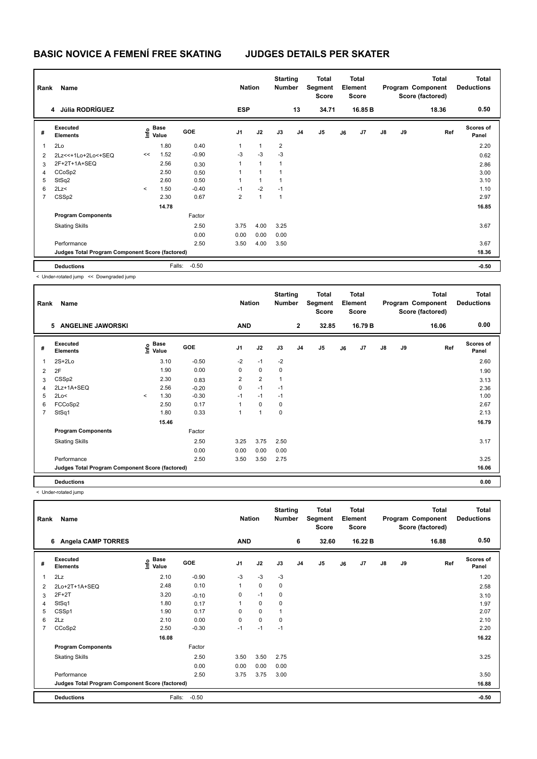| Rank           | Name                                            |         |                                  |         | <b>Nation</b>  |              | <b>Starting</b><br><b>Number</b> |                | Total<br>Segment<br><b>Score</b> |    | <b>Total</b><br>Element<br><b>Score</b> |               |    | <b>Total</b><br>Program Component<br>Score (factored) | <b>Total</b><br><b>Deductions</b> |
|----------------|-------------------------------------------------|---------|----------------------------------|---------|----------------|--------------|----------------------------------|----------------|----------------------------------|----|-----------------------------------------|---------------|----|-------------------------------------------------------|-----------------------------------|
|                | 4 Júlia RODRÍGUEZ                               |         |                                  |         | <b>ESP</b>     |              |                                  | 13             | 34.71                            |    | 16.85 B                                 |               |    | 18.36                                                 | 0.50                              |
| #              | Executed<br><b>Elements</b>                     |         | <b>Base</b><br>o Base<br>⊆ Value | GOE     | J <sub>1</sub> | J2           | J3                               | J <sub>4</sub> | J <sub>5</sub>                   | J6 | J7                                      | $\mathsf{J}8$ | J9 | Ref                                                   | <b>Scores of</b><br>Panel         |
| $\overline{1}$ | 2Lo                                             |         | 1.80                             | 0.40    | 1              | $\mathbf{1}$ | $\overline{2}$                   |                |                                  |    |                                         |               |    |                                                       | 2.20                              |
| 2              | 2Lz << + 1Lo + 2Lo < + SEQ                      | <<      | 1.52                             | $-0.90$ | $-3$           | $-3$         | $-3$                             |                |                                  |    |                                         |               |    |                                                       | 0.62                              |
| 3              | 2F+2T+1A+SEQ                                    |         | 2.56                             | 0.30    | 1              | $\mathbf{1}$ | 1                                |                |                                  |    |                                         |               |    |                                                       | 2.86                              |
| 4              | CCoSp2                                          |         | 2.50                             | 0.50    | 1              | 1            | 1                                |                |                                  |    |                                         |               |    |                                                       | 3.00                              |
| 5              | StSq2                                           |         | 2.60                             | 0.50    | 1              | $\mathbf{1}$ | 1                                |                |                                  |    |                                         |               |    |                                                       | 3.10                              |
| 6              | 2Lz<                                            | $\prec$ | 1.50                             | $-0.40$ | $-1$           | $-2$         | $-1$                             |                |                                  |    |                                         |               |    |                                                       | 1.10                              |
| 7              | CSSp2                                           |         | 2.30                             | 0.67    | $\overline{2}$ | $\mathbf{1}$ | $\mathbf{1}$                     |                |                                  |    |                                         |               |    |                                                       | 2.97                              |
|                |                                                 |         | 14.78                            |         |                |              |                                  |                |                                  |    |                                         |               |    |                                                       | 16.85                             |
|                | <b>Program Components</b>                       |         |                                  | Factor  |                |              |                                  |                |                                  |    |                                         |               |    |                                                       |                                   |
|                | <b>Skating Skills</b>                           |         |                                  | 2.50    | 3.75           | 4.00         | 3.25                             |                |                                  |    |                                         |               |    |                                                       | 3.67                              |
|                |                                                 |         |                                  | 0.00    | 0.00           | 0.00         | 0.00                             |                |                                  |    |                                         |               |    |                                                       |                                   |
|                | Performance                                     |         |                                  | 2.50    | 3.50           | 4.00         | 3.50                             |                |                                  |    |                                         |               |    |                                                       | 3.67                              |
|                | Judges Total Program Component Score (factored) |         |                                  |         |                |              |                                  |                |                                  |    |                                         |               |    |                                                       | 18.36                             |
|                | <b>Deductions</b>                               |         | Falls:                           | $-0.50$ |                |              |                                  |                |                                  |    |                                         |               |    |                                                       | $-0.50$                           |
|                | < Under-rotated jump << Downgraded jump         |         |                                  |         |                |              |                                  |                |                                  |    |                                         |               |    |                                                       |                                   |

| Rank           | Name                                            |         |                   |            | <b>Nation</b>  |                | <b>Starting</b><br><b>Number</b> |                | Total<br>Segment<br><b>Score</b> |    | <b>Total</b><br>Element<br>Score |               |    | Total<br>Program Component<br>Score (factored) | <b>Total</b><br><b>Deductions</b> |
|----------------|-------------------------------------------------|---------|-------------------|------------|----------------|----------------|----------------------------------|----------------|----------------------------------|----|----------------------------------|---------------|----|------------------------------------------------|-----------------------------------|
|                | <b>ANGELINE JAWORSKI</b><br>5                   |         |                   |            | <b>AND</b>     |                |                                  | $\overline{2}$ | 32.85                            |    | 16.79 B                          |               |    | 16.06                                          | 0.00                              |
| #              | Executed<br><b>Elements</b>                     |         | e Base<br>⊆ Value | <b>GOE</b> | J <sub>1</sub> | J2             | J3                               | J <sub>4</sub> | J <sub>5</sub>                   | J6 | J7                               | $\mathsf{J}8$ | J9 | Ref                                            | <b>Scores of</b><br>Panel         |
| 1              | $2S+2Lo$                                        |         | 3.10              | $-0.50$    | $-2$           | $-1$           | $-2$                             |                |                                  |    |                                  |               |    |                                                | 2.60                              |
| 2              | 2F                                              |         | 1.90              | 0.00       | 0              | $\mathbf 0$    | 0                                |                |                                  |    |                                  |               |    |                                                | 1.90                              |
| 3              | CSSp2                                           |         | 2.30              | 0.83       | $\overline{2}$ | $\overline{2}$ | $\overline{1}$                   |                |                                  |    |                                  |               |    |                                                | 3.13                              |
| 4              | 2Lz+1A+SEQ                                      |         | 2.56              | $-0.20$    | 0              | $-1$           | $-1$                             |                |                                  |    |                                  |               |    |                                                | 2.36                              |
| 5              | 2Lo<                                            | $\prec$ | 1.30              | $-0.30$    | $-1$           | $-1$           | $-1$                             |                |                                  |    |                                  |               |    |                                                | 1.00                              |
| 6              | FCCoSp2                                         |         | 2.50              | 0.17       | 1              | $\mathbf 0$    | 0                                |                |                                  |    |                                  |               |    |                                                | 2.67                              |
| $\overline{7}$ | StSq1                                           |         | 1.80              | 0.33       | 1              | $\overline{1}$ | 0                                |                |                                  |    |                                  |               |    |                                                | 2.13                              |
|                |                                                 |         | 15.46             |            |                |                |                                  |                |                                  |    |                                  |               |    |                                                | 16.79                             |
|                | <b>Program Components</b>                       |         |                   | Factor     |                |                |                                  |                |                                  |    |                                  |               |    |                                                |                                   |
|                | <b>Skating Skills</b>                           |         |                   | 2.50       | 3.25           | 3.75           | 2.50                             |                |                                  |    |                                  |               |    |                                                | 3.17                              |
|                |                                                 |         |                   | 0.00       | 0.00           | 0.00           | 0.00                             |                |                                  |    |                                  |               |    |                                                |                                   |
|                | Performance                                     |         |                   | 2.50       | 3.50           | 3.50           | 2.75                             |                |                                  |    |                                  |               |    |                                                | 3.25                              |
|                | Judges Total Program Component Score (factored) |         |                   |            |                |                |                                  |                |                                  |    |                                  |               |    |                                                | 16.06                             |
|                | <b>Deductions</b>                               |         |                   |            |                |                |                                  |                |                                  |    |                                  |               |    |                                                | 0.00                              |

< Under-rotated jump

| Rank           | Name                                            |                                  |            | <b>Nation</b>  |             | <b>Starting</b><br><b>Number</b> |                | Total<br>Segment<br><b>Score</b> |    | <b>Total</b><br>Element<br><b>Score</b> |               |    | <b>Total</b><br>Program Component<br>Score (factored) | Total<br><b>Deductions</b> |
|----------------|-------------------------------------------------|----------------------------------|------------|----------------|-------------|----------------------------------|----------------|----------------------------------|----|-----------------------------------------|---------------|----|-------------------------------------------------------|----------------------------|
|                | <b>Angela CAMP TORRES</b><br>6                  |                                  |            | <b>AND</b>     |             |                                  | 6              | 32.60                            |    | 16.22 B                                 |               |    | 16.88                                                 | 0.50                       |
| #              | Executed<br><b>Elements</b>                     | <b>Base</b><br>e Base<br>⊆ Value | <b>GOE</b> | J <sub>1</sub> | J2          | J3                               | J <sub>4</sub> | J <sub>5</sub>                   | J6 | J7                                      | $\mathsf{J}8$ | J9 | Ref                                                   | <b>Scores of</b><br>Panel  |
| 1              | 2Lz                                             | 2.10                             | $-0.90$    | -3             | $-3$        | $-3$                             |                |                                  |    |                                         |               |    |                                                       | 1.20                       |
| 2              | 2Lo+2T+1A+SEQ                                   | 2.48                             | 0.10       | 1              | $\mathbf 0$ | $\mathbf 0$                      |                |                                  |    |                                         |               |    |                                                       | 2.58                       |
| 3              | $2F+2T$                                         | 3.20                             | $-0.10$    | 0              | $-1$        | 0                                |                |                                  |    |                                         |               |    |                                                       | 3.10                       |
| $\overline{4}$ | StSq1                                           | 1.80                             | 0.17       | 1              | $\mathbf 0$ | 0                                |                |                                  |    |                                         |               |    |                                                       | 1.97                       |
| 5              | CSSp1                                           | 1.90                             | 0.17       | 0              | $\mathbf 0$ | 1                                |                |                                  |    |                                         |               |    |                                                       | 2.07                       |
| 6              | 2Lz                                             | 2.10                             | 0.00       | 0              | $\mathbf 0$ | $\mathbf 0$                      |                |                                  |    |                                         |               |    |                                                       | 2.10                       |
| $\overline{7}$ | CCoSp2                                          | 2.50                             | $-0.30$    | $-1$           | $-1$        | $-1$                             |                |                                  |    |                                         |               |    |                                                       | 2.20                       |
|                |                                                 | 16.08                            |            |                |             |                                  |                |                                  |    |                                         |               |    |                                                       | 16.22                      |
|                | <b>Program Components</b>                       |                                  | Factor     |                |             |                                  |                |                                  |    |                                         |               |    |                                                       |                            |
|                | <b>Skating Skills</b>                           |                                  | 2.50       | 3.50           | 3.50        | 2.75                             |                |                                  |    |                                         |               |    |                                                       | 3.25                       |
|                |                                                 |                                  | 0.00       | 0.00           | 0.00        | 0.00                             |                |                                  |    |                                         |               |    |                                                       |                            |
|                | Performance                                     |                                  | 2.50       | 3.75           | 3.75        | 3.00                             |                |                                  |    |                                         |               |    |                                                       | 3.50                       |
|                | Judges Total Program Component Score (factored) |                                  |            |                |             |                                  |                |                                  |    |                                         |               |    |                                                       | 16.88                      |
|                | <b>Deductions</b>                               | Falls:                           | $-0.50$    |                |             |                                  |                |                                  |    |                                         |               |    |                                                       | $-0.50$                    |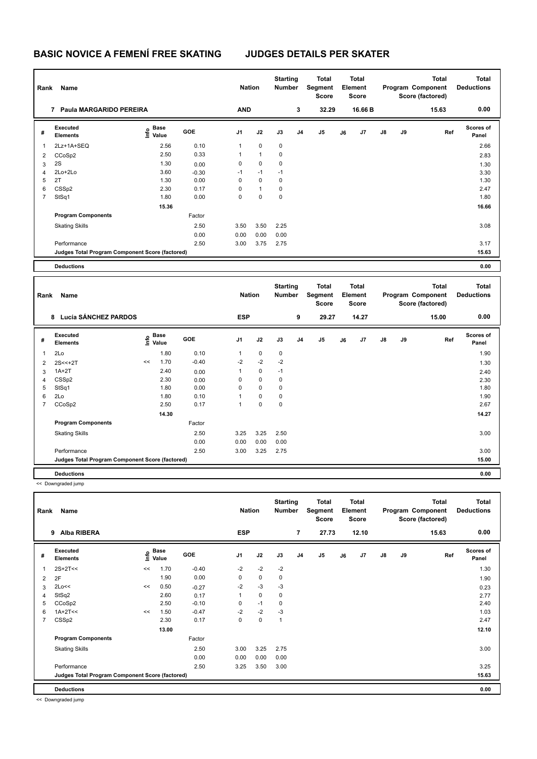| Rank           | Name                                            |                           |            | <b>Nation</b> |              | <b>Starting</b><br><b>Number</b> |    | Total<br>Segment<br><b>Score</b> |    | Total<br>Element<br><b>Score</b> |    |    | Total<br>Program Component<br>Score (factored) | <b>Total</b><br><b>Deductions</b> |
|----------------|-------------------------------------------------|---------------------------|------------|---------------|--------------|----------------------------------|----|----------------------------------|----|----------------------------------|----|----|------------------------------------------------|-----------------------------------|
|                | Paula MARGARIDO PEREIRA<br>7                    |                           |            | <b>AND</b>    |              |                                  | 3  | 32.29                            |    | 16.66 B                          |    |    | 15.63                                          | 0.00                              |
| #              | Executed<br><b>Elements</b>                     | Base<br>o Base<br>⊆ Value | <b>GOE</b> | J1            | J2           | J3                               | J4 | J <sub>5</sub>                   | J6 | J7                               | J8 | J9 | Ref                                            | <b>Scores of</b><br>Panel         |
| 1              | 2Lz+1A+SEQ                                      | 2.56                      | 0.10       | 1             | 0            | 0                                |    |                                  |    |                                  |    |    |                                                | 2.66                              |
| 2              | CCoSp2                                          | 2.50                      | 0.33       | 1             | $\mathbf{1}$ | 0                                |    |                                  |    |                                  |    |    |                                                | 2.83                              |
| 3              | 2S                                              | 1.30                      | 0.00       | 0             | 0            | 0                                |    |                                  |    |                                  |    |    |                                                | 1.30                              |
| 4              | 2Lo+2Lo                                         | 3.60                      | $-0.30$    | $-1$          | $-1$         | $-1$                             |    |                                  |    |                                  |    |    |                                                | 3.30                              |
| 5              | 2T                                              | 1.30                      | 0.00       | 0             | $\mathbf 0$  | 0                                |    |                                  |    |                                  |    |    |                                                | 1.30                              |
| 6              | CSSp2                                           | 2.30                      | 0.17       | 0             | $\mathbf{1}$ | 0                                |    |                                  |    |                                  |    |    |                                                | 2.47                              |
| $\overline{7}$ | StSq1                                           | 1.80                      | 0.00       | 0             | $\mathbf 0$  | 0                                |    |                                  |    |                                  |    |    |                                                | 1.80                              |
|                |                                                 | 15.36                     |            |               |              |                                  |    |                                  |    |                                  |    |    |                                                | 16.66                             |
|                | <b>Program Components</b>                       |                           | Factor     |               |              |                                  |    |                                  |    |                                  |    |    |                                                |                                   |
|                | <b>Skating Skills</b>                           |                           | 2.50       | 3.50          | 3.50         | 2.25                             |    |                                  |    |                                  |    |    |                                                | 3.08                              |
|                |                                                 |                           | 0.00       | 0.00          | 0.00         | 0.00                             |    |                                  |    |                                  |    |    |                                                |                                   |
|                | Performance                                     |                           | 2.50       | 3.00          | 3.75         | 2.75                             |    |                                  |    |                                  |    |    |                                                | 3.17                              |
|                | Judges Total Program Component Score (factored) |                           |            |               |              |                                  |    |                                  |    |                                  |    |    |                                                | 15.63                             |
|                | <b>Deductions</b>                               |                           |            |               |              |                                  |    |                                  |    |                                  |    |    |                                                | 0.00                              |

| Rank           | Name                                            |                                           |       |         | <b>Nation</b>  |             | <b>Starting</b><br><b>Number</b> |                | Total<br>Segment<br><b>Score</b> |    | <b>Total</b><br>Element<br><b>Score</b> |               |    | <b>Total</b><br>Program Component<br>Score (factored) | <b>Total</b><br><b>Deductions</b> |
|----------------|-------------------------------------------------|-------------------------------------------|-------|---------|----------------|-------------|----------------------------------|----------------|----------------------------------|----|-----------------------------------------|---------------|----|-------------------------------------------------------|-----------------------------------|
|                | Lucía SÁNCHEZ PARDOS<br>8                       |                                           |       |         | <b>ESP</b>     |             |                                  | 9              | 29.27                            |    | 14.27                                   |               |    | 15.00                                                 | 0.00                              |
| #              | Executed<br><b>Elements</b>                     | $\frac{6}{5}$ Base<br>$\frac{6}{5}$ Value |       | GOE     | J <sub>1</sub> | J2          | J3                               | J <sub>4</sub> | J <sub>5</sub>                   | J6 | J7                                      | $\mathsf{J}8$ | J9 | Ref                                                   | <b>Scores of</b><br>Panel         |
| 1              | 2Lo                                             |                                           | 1.80  | 0.10    | 1              | $\mathbf 0$ | 0                                |                |                                  |    |                                         |               |    |                                                       | 1.90                              |
| 2              | $2S < +2T$                                      | <<                                        | 1.70  | $-0.40$ | $-2$           | $-2$        | $-2$                             |                |                                  |    |                                         |               |    |                                                       | 1.30                              |
| 3              | $1A+2T$                                         |                                           | 2.40  | 0.00    | 1              | $\mathbf 0$ | $-1$                             |                |                                  |    |                                         |               |    |                                                       | 2.40                              |
| 4              | CSS <sub>p2</sub>                               |                                           | 2.30  | 0.00    | 0              | 0           | 0                                |                |                                  |    |                                         |               |    |                                                       | 2.30                              |
| 5              | StSq1                                           |                                           | 1.80  | 0.00    | 0              | 0           | 0                                |                |                                  |    |                                         |               |    |                                                       | 1.80                              |
| 6              | 2Lo                                             |                                           | 1.80  | 0.10    | 1              | 0           | 0                                |                |                                  |    |                                         |               |    |                                                       | 1.90                              |
| $\overline{7}$ | CCoSp2                                          |                                           | 2.50  | 0.17    | 1              | $\pmb{0}$   | 0                                |                |                                  |    |                                         |               |    |                                                       | 2.67                              |
|                |                                                 |                                           | 14.30 |         |                |             |                                  |                |                                  |    |                                         |               |    |                                                       | 14.27                             |
|                | <b>Program Components</b>                       |                                           |       | Factor  |                |             |                                  |                |                                  |    |                                         |               |    |                                                       |                                   |
|                | <b>Skating Skills</b>                           |                                           |       | 2.50    | 3.25           | 3.25        | 2.50                             |                |                                  |    |                                         |               |    |                                                       | 3.00                              |
|                |                                                 |                                           |       | 0.00    | 0.00           | 0.00        | 0.00                             |                |                                  |    |                                         |               |    |                                                       |                                   |
|                | Performance                                     |                                           |       | 2.50    | 3.00           | 3.25        | 2.75                             |                |                                  |    |                                         |               |    |                                                       | 3.00                              |
|                | Judges Total Program Component Score (factored) |                                           |       |         |                |             |                                  |                |                                  |    |                                         |               |    |                                                       | 15.00                             |
|                | <b>Deductions</b>                               |                                           |       |         |                |             |                                  |                |                                  |    |                                         |               |    |                                                       | 0.00                              |

<< Downgraded jump

| Rank           | Name<br><b>Alba RIBERA</b><br>9                 |    |                                  |         | <b>Nation</b>  |             | <b>Starting</b><br><b>Number</b> |                | <b>Total</b><br>Segment<br><b>Score</b> |    | <b>Total</b><br>Element<br><b>Score</b> |               |    | Total<br>Program Component<br>Score (factored) | Total<br><b>Deductions</b> |
|----------------|-------------------------------------------------|----|----------------------------------|---------|----------------|-------------|----------------------------------|----------------|-----------------------------------------|----|-----------------------------------------|---------------|----|------------------------------------------------|----------------------------|
|                |                                                 |    |                                  |         | <b>ESP</b>     |             |                                  | 7              | 27.73                                   |    | 12.10                                   |               |    | 15.63                                          | 0.00                       |
| #              | Executed<br><b>Elements</b>                     |    | <b>Base</b><br>o Base<br>⊆ Value | GOE     | J <sub>1</sub> | J2          | J3                               | J <sub>4</sub> | J <sub>5</sub>                          | J6 | J7                                      | $\mathsf{J}8$ | J9 | Ref                                            | <b>Scores of</b><br>Panel  |
| 1              | $2S+2T<<$                                       | << | 1.70                             | $-0.40$ | $-2$           | $-2$        | $-2$                             |                |                                         |    |                                         |               |    |                                                | 1.30                       |
| 2              | 2F                                              |    | 1.90                             | 0.00    | 0              | $\mathbf 0$ | 0                                |                |                                         |    |                                         |               |    |                                                | 1.90                       |
| 3              | 2Lo<<                                           | << | 0.50                             | $-0.27$ | $-2$           | $-3$        | $-3$                             |                |                                         |    |                                         |               |    |                                                | 0.23                       |
| 4              | StSq2                                           |    | 2.60                             | 0.17    | 1              | $\mathbf 0$ | 0                                |                |                                         |    |                                         |               |    |                                                | 2.77                       |
| 5              | CCoSp2                                          |    | 2.50                             | $-0.10$ | 0              | $-1$        | 0                                |                |                                         |    |                                         |               |    |                                                | 2.40                       |
| 6              | $1A+2T<<$                                       | << | 1.50                             | $-0.47$ | $-2$           | $-2$        | $-3$                             |                |                                         |    |                                         |               |    |                                                | 1.03                       |
| $\overline{7}$ | CSS <sub>p2</sub>                               |    | 2.30                             | 0.17    | 0              | $\mathbf 0$ | $\overline{1}$                   |                |                                         |    |                                         |               |    |                                                | 2.47                       |
|                |                                                 |    | 13.00                            |         |                |             |                                  |                |                                         |    |                                         |               |    |                                                | 12.10                      |
|                | <b>Program Components</b>                       |    |                                  | Factor  |                |             |                                  |                |                                         |    |                                         |               |    |                                                |                            |
|                | <b>Skating Skills</b>                           |    |                                  | 2.50    | 3.00           | 3.25        | 2.75                             |                |                                         |    |                                         |               |    |                                                | 3.00                       |
|                |                                                 |    |                                  | 0.00    | 0.00           | 0.00        | 0.00                             |                |                                         |    |                                         |               |    |                                                |                            |
|                | Performance                                     |    |                                  | 2.50    | 3.25           | 3.50        | 3.00                             |                |                                         |    |                                         |               |    |                                                | 3.25                       |
|                | Judges Total Program Component Score (factored) |    |                                  |         |                |             |                                  |                |                                         |    |                                         |               |    |                                                | 15.63                      |
|                | <b>Deductions</b>                               |    |                                  |         |                |             |                                  |                |                                         |    |                                         |               |    |                                                | 0.00                       |

<< Downgraded jump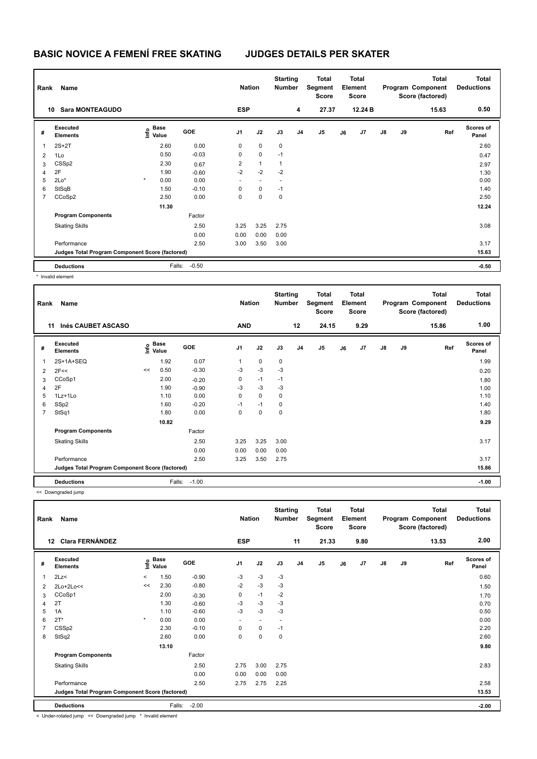| Rank           | Name                                            |                                  |            | <b>Nation</b>  |              | <b>Starting</b><br><b>Number</b> |                | Total<br>Segment<br><b>Score</b> |    | <b>Total</b><br>Element<br><b>Score</b> |               |    | <b>Total</b><br>Program Component<br>Score (factored) | <b>Total</b><br><b>Deductions</b> |
|----------------|-------------------------------------------------|----------------------------------|------------|----------------|--------------|----------------------------------|----------------|----------------------------------|----|-----------------------------------------|---------------|----|-------------------------------------------------------|-----------------------------------|
|                | <b>Sara MONTEAGUDO</b><br>10                    |                                  |            | <b>ESP</b>     |              |                                  | 4              | 27.37                            |    | 12.24 B                                 |               |    | 15.63                                                 | 0.50                              |
| #              | Executed<br><b>Elements</b>                     | <b>Base</b><br>e Base<br>⊆ Value | <b>GOE</b> | J <sub>1</sub> | J2           | J3                               | J <sub>4</sub> | J5                               | J6 | J7                                      | $\mathsf{J}8$ | J9 | Ref                                                   | <b>Scores of</b><br>Panel         |
|                | $2S+2T$                                         | 2.60                             | 0.00       | 0              | $\mathbf 0$  | $\mathbf 0$                      |                |                                  |    |                                         |               |    |                                                       | 2.60                              |
| 2              | 1Lo                                             | 0.50                             | $-0.03$    | 0              | $\mathbf 0$  | $-1$                             |                |                                  |    |                                         |               |    |                                                       | 0.47                              |
| 3              | CSSp2                                           | 2.30                             | 0.67       | 2              | $\mathbf{1}$ | $\mathbf{1}$                     |                |                                  |    |                                         |               |    |                                                       | 2.97                              |
| $\overline{4}$ | 2F                                              | 1.90                             | $-0.60$    | $-2$           | $-2$         | $-2$                             |                |                                  |    |                                         |               |    |                                                       | 1.30                              |
| 5              | $2Lo*$                                          | $\star$<br>0.00                  | 0.00       |                |              |                                  |                |                                  |    |                                         |               |    |                                                       | 0.00                              |
| 6              | StSqB                                           | 1.50                             | $-0.10$    | $\Omega$       | $\mathbf 0$  | $-1$                             |                |                                  |    |                                         |               |    |                                                       | 1.40                              |
| 7              | CCoSp2                                          | 2.50                             | 0.00       | 0              | $\mathbf 0$  | $\mathbf 0$                      |                |                                  |    |                                         |               |    |                                                       | 2.50                              |
|                |                                                 | 11.30                            |            |                |              |                                  |                |                                  |    |                                         |               |    |                                                       | 12.24                             |
|                | <b>Program Components</b>                       |                                  | Factor     |                |              |                                  |                |                                  |    |                                         |               |    |                                                       |                                   |
|                | <b>Skating Skills</b>                           |                                  | 2.50       | 3.25           | 3.25         | 2.75                             |                |                                  |    |                                         |               |    |                                                       | 3.08                              |
|                |                                                 |                                  | 0.00       | 0.00           | 0.00         | 0.00                             |                |                                  |    |                                         |               |    |                                                       |                                   |
|                | Performance                                     |                                  | 2.50       | 3.00           | 3.50         | 3.00                             |                |                                  |    |                                         |               |    |                                                       | 3.17                              |
|                | Judges Total Program Component Score (factored) |                                  |            |                |              |                                  |                |                                  |    |                                         |               |    |                                                       | 15.63                             |
|                | <b>Deductions</b>                               | Falls:                           | $-0.50$    |                |              |                                  |                |                                  |    |                                         |               |    |                                                       | $-0.50$                           |

hvalid element

| Rank                    | Name                                            |    |                                    |         | <b>Nation</b>  |             | <b>Starting</b><br><b>Number</b> |                | Total<br>Segment<br><b>Score</b> |    | <b>Total</b><br>Element<br>Score |               |    | <b>Total</b><br>Program Component<br>Score (factored) | <b>Total</b><br><b>Deductions</b> |
|-------------------------|-------------------------------------------------|----|------------------------------------|---------|----------------|-------------|----------------------------------|----------------|----------------------------------|----|----------------------------------|---------------|----|-------------------------------------------------------|-----------------------------------|
|                         | Inés CAUBET ASCASO<br>11                        |    |                                    |         | <b>AND</b>     |             |                                  | 12             | 24.15                            |    | 9.29                             |               |    | 15.86                                                 | 1.00                              |
| #                       | Executed<br><b>Elements</b>                     |    | <b>Base</b><br>$\frac{6}{5}$ Value | GOE     | J <sub>1</sub> | J2          | J3                               | J <sub>4</sub> | J <sub>5</sub>                   | J6 | J7                               | $\mathsf{J}8$ | J9 | Ref                                                   | <b>Scores of</b><br>Panel         |
| $\overline{\mathbf{1}}$ | 2S+1A+SEQ                                       |    | 1.92                               | 0.07    | 1              | 0           | $\pmb{0}$                        |                |                                  |    |                                  |               |    |                                                       | 1.99                              |
| 2                       | 2F<<                                            | << | 0.50                               | $-0.30$ | $-3$           | $-3$        | $-3$                             |                |                                  |    |                                  |               |    |                                                       | 0.20                              |
| 3                       | CCoSp1                                          |    | 2.00                               | $-0.20$ | 0              | $-1$        | $-1$                             |                |                                  |    |                                  |               |    |                                                       | 1.80                              |
| 4                       | 2F                                              |    | 1.90                               | $-0.90$ | $-3$           | $-3$        | -3                               |                |                                  |    |                                  |               |    |                                                       | 1.00                              |
| 5                       | 1Lz+1Lo                                         |    | 1.10                               | 0.00    | 0              | $\mathbf 0$ | 0                                |                |                                  |    |                                  |               |    |                                                       | 1.10                              |
| 6                       | SSp2                                            |    | 1.60                               | $-0.20$ | $-1$           | $-1$        | 0                                |                |                                  |    |                                  |               |    |                                                       | 1.40                              |
| 7                       | StSq1                                           |    | 1.80                               | 0.00    | 0              | $\mathbf 0$ | 0                                |                |                                  |    |                                  |               |    |                                                       | 1.80                              |
|                         |                                                 |    | 10.82                              |         |                |             |                                  |                |                                  |    |                                  |               |    |                                                       | 9.29                              |
|                         | <b>Program Components</b>                       |    |                                    | Factor  |                |             |                                  |                |                                  |    |                                  |               |    |                                                       |                                   |
|                         | <b>Skating Skills</b>                           |    |                                    | 2.50    | 3.25           | 3.25        | 3.00                             |                |                                  |    |                                  |               |    |                                                       | 3.17                              |
|                         |                                                 |    |                                    | 0.00    | 0.00           | 0.00        | 0.00                             |                |                                  |    |                                  |               |    |                                                       |                                   |
|                         | Performance                                     |    |                                    | 2.50    | 3.25           | 3.50        | 2.75                             |                |                                  |    |                                  |               |    |                                                       | 3.17                              |
|                         | Judges Total Program Component Score (factored) |    |                                    |         |                |             |                                  |                |                                  |    |                                  |               |    |                                                       | 15.86                             |
|                         | <b>Deductions</b>                               |    | Falls:                             | $-1.00$ |                |             |                                  |                |                                  |    |                                  |               |    |                                                       | $-1.00$                           |

<< Downgraded jump

| Rank | Name                                            |         |                           |         | <b>Nation</b>            |                          | <b>Starting</b><br><b>Number</b> |    | Total<br>Segment<br>Score |    | <b>Total</b><br>Element<br><b>Score</b> |               |    | <b>Total</b><br>Program Component<br>Score (factored) | <b>Total</b><br><b>Deductions</b> |
|------|-------------------------------------------------|---------|---------------------------|---------|--------------------------|--------------------------|----------------------------------|----|---------------------------|----|-----------------------------------------|---------------|----|-------------------------------------------------------|-----------------------------------|
| 12   | <b>Clara FERNÁNDEZ</b>                          |         |                           |         | <b>ESP</b>               |                          |                                  | 11 | 21.33                     |    | 9.80                                    |               |    | 13.53                                                 | 2.00                              |
| #    | Executed<br><b>Elements</b>                     |         | Base<br>e Base<br>⊆ Value | GOE     | J <sub>1</sub>           | J2                       | J3                               | J4 | J <sub>5</sub>            | J6 | J7                                      | $\mathsf{J}8$ | J9 | Ref                                                   | <b>Scores of</b><br>Panel         |
| 1    | 2Lz                                             | $\,<\,$ | 1.50                      | $-0.90$ | $-3$                     | $-3$                     | $-3$                             |    |                           |    |                                         |               |    |                                                       | 0.60                              |
| 2    | 2Lo+2Lo<<                                       | <<      | 2.30                      | $-0.80$ | $-2$                     | $-3$                     | $-3$                             |    |                           |    |                                         |               |    |                                                       | 1.50                              |
| 3    | CCoSp1                                          |         | 2.00                      | $-0.30$ | 0                        | $-1$                     | $-2$                             |    |                           |    |                                         |               |    |                                                       | 1.70                              |
| 4    | 2T                                              |         | 1.30                      | $-0.60$ | $-3$                     | $-3$                     | $-3$                             |    |                           |    |                                         |               |    |                                                       | 0.70                              |
| 5    | 1A                                              |         | 1.10                      | $-0.60$ | $-3$                     | $-3$                     | $-3$                             |    |                           |    |                                         |               |    |                                                       | 0.50                              |
| 6    | $2T^*$                                          | $\star$ | 0.00                      | 0.00    | $\overline{\phantom{a}}$ | $\overline{\phantom{a}}$ | $\overline{\phantom{a}}$         |    |                           |    |                                         |               |    |                                                       | 0.00                              |
| 7    | CSSp2                                           |         | 2.30                      | $-0.10$ | $\mathbf 0$              | $\mathbf 0$              | $-1$                             |    |                           |    |                                         |               |    |                                                       | 2.20                              |
| 8    | StSq2                                           |         | 2.60                      | 0.00    | 0                        | $\pmb{0}$                | $\pmb{0}$                        |    |                           |    |                                         |               |    |                                                       | 2.60                              |
|      |                                                 |         | 13.10                     |         |                          |                          |                                  |    |                           |    |                                         |               |    |                                                       | 9.80                              |
|      | <b>Program Components</b>                       |         |                           | Factor  |                          |                          |                                  |    |                           |    |                                         |               |    |                                                       |                                   |
|      | <b>Skating Skills</b>                           |         |                           | 2.50    | 2.75                     | 3.00                     | 2.75                             |    |                           |    |                                         |               |    |                                                       | 2.83                              |
|      |                                                 |         |                           | 0.00    | 0.00                     | 0.00                     | 0.00                             |    |                           |    |                                         |               |    |                                                       |                                   |
|      | Performance                                     |         |                           | 2.50    | 2.75                     | 2.75                     | 2.25                             |    |                           |    |                                         |               |    |                                                       | 2.58                              |
|      | Judges Total Program Component Score (factored) |         |                           |         |                          |                          |                                  |    |                           |    |                                         |               |    |                                                       | 13.53                             |
|      | <b>Deductions</b>                               |         | Falls:                    | $-2.00$ |                          |                          |                                  |    |                           |    |                                         |               |    |                                                       | $-2.00$                           |

< Under-rotated jump << Downgraded jump \* Invalid element